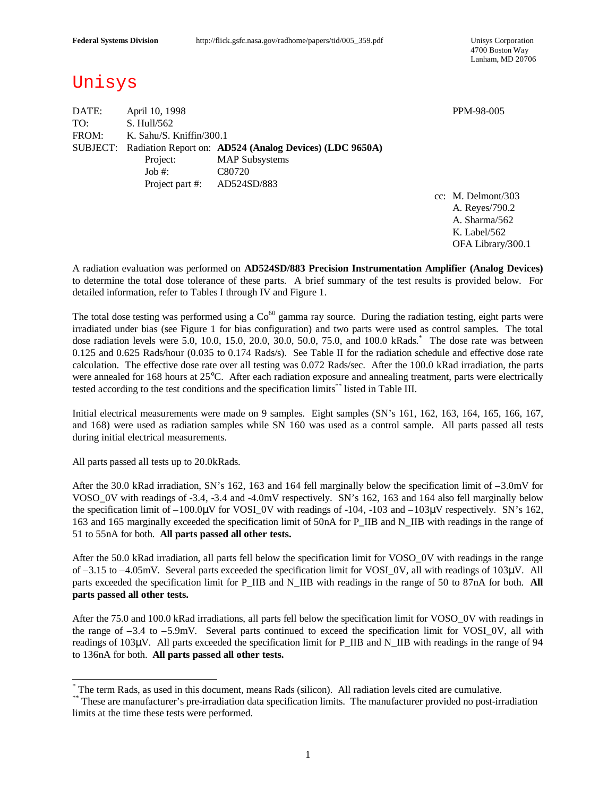4700 Boston Way Lanham, MD 20706

## Unisys

DATE: April 10, 1998 PPM-98-005 TO: S. Hull/562 FROM: K. Sahu/S. Kniffin/300.1 SUBJECT: Radiation Report on: **AD524 (Analog Devices) (LDC 9650A)** Project: MAP Subsystems Job #: C80720 Project part #: AD524SD/883

cc: M. Delmont/303 A. Reyes/790.2 A. Sharma/562 K. Label/562 OFA Library/300.1

A radiation evaluation was performed on **AD524SD/883 Precision Instrumentation Amplifier (Analog Devices)** to determine the total dose tolerance of these parts. A brief summary of the test results is provided below. For detailed information, refer to Tables I through IV and Figure 1.

The total dose testing was performed using a  $Co^{60}$  gamma ray source. During the radiation testing, eight parts were irradiated under bias (see Figure 1 for bias configuration) and two parts were used as control samples. The total dose radiation levels were 5.0, 10.0, 15.0, 20.0, 30.0, 50.0, 75.0, and 100.0 kRads. \* The dose rate was between 0.125 and 0.625 Rads/hour (0.035 to 0.174 Rads/s). See Table II for the radiation schedule and effective dose rate calculation. The effective dose rate over all testing was 0.072 Rads/sec. After the 100.0 kRad irradiation, the parts were annealed for 168 hours at 25°C. After each radiation exposure and annealing treatment, parts were electrically tested according to the test conditions and the specification limits\*\* listed in Table III.

Initial electrical measurements were made on 9 samples. Eight samples (SN's 161, 162, 163, 164, 165, 166, 167, and 168) were used as radiation samples while SN 160 was used as a control sample. All parts passed all tests during initial electrical measurements.

All parts passed all tests up to 20.0kRads.

-

After the 30.0 kRad irradiation, SN's 162, 163 and 164 fell marginally below the specification limit of –3.0mV for VOSO\_0V with readings of -3.4, -3.4 and -4.0mV respectively. SN's 162, 163 and 164 also fell marginally below the specification limit of –100.0μV for VOSI\_0V with readings of -104, -103 and –103μV respectively. SN's 162, 163 and 165 marginally exceeded the specification limit of 50nA for P\_IIB and N\_IIB with readings in the range of 51 to 55nA for both. **All parts passed all other tests.**

After the 50.0 kRad irradiation, all parts fell below the specification limit for VOSO\_0V with readings in the range of –3.15 to –4.05mV. Several parts exceeded the specification limit for VOSI\_0V, all with readings of 103μV. All parts exceeded the specification limit for P\_IIB and N\_IIB with readings in the range of 50 to 87nA for both. **All parts passed all other tests.**

After the 75.0 and 100.0 kRad irradiations, all parts fell below the specification limit for VOSO\_0V with readings in the range of –3.4 to –5.9mV. Several parts continued to exceed the specification limit for VOSI\_0V, all with readings of 103μV. All parts exceeded the specification limit for P\_IIB and N\_IIB with readings in the range of 94 to 136nA for both. **All parts passed all other tests.**

<sup>\*</sup> The term Rads, as used in this document, means Rads (silicon). All radiation levels cited are cumulative.

<sup>\*\*</sup> These are manufacturer's pre-irradiation data specification limits. The manufacturer provided no post-irradiation limits at the time these tests were performed.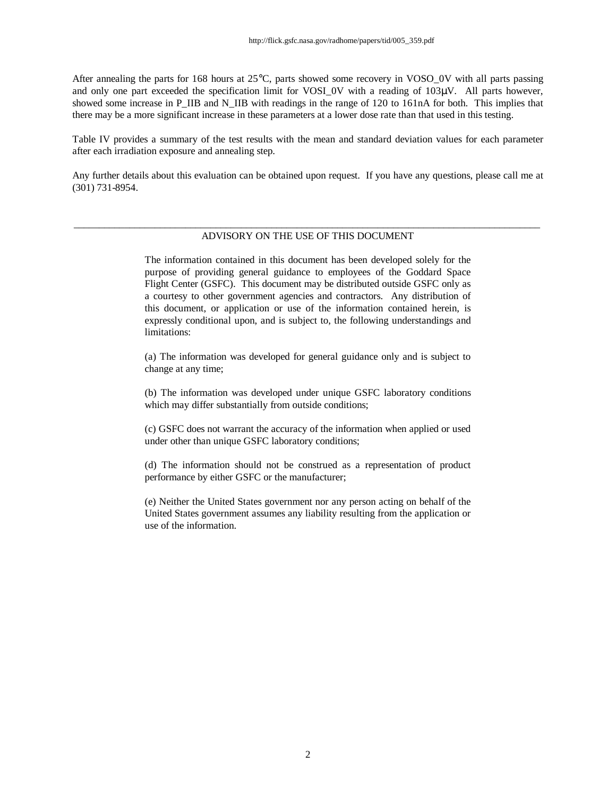After annealing the parts for 168 hours at 25°C, parts showed some recovery in VOSO\_0V with all parts passing and only one part exceeded the specification limit for VOSI\_0V with a reading of 103μV. All parts however, showed some increase in P\_IIB and N\_IIB with readings in the range of 120 to 161nA for both. This implies that there may be a more significant increase in these parameters at a lower dose rate than that used in this testing.

Table IV provides a summary of the test results with the mean and standard deviation values for each parameter after each irradiation exposure and annealing step.

Any further details about this evaluation can be obtained upon request. If you have any questions, please call me at (301) 731-8954.

#### \_\_\_\_\_\_\_\_\_\_\_\_\_\_\_\_\_\_\_\_\_\_\_\_\_\_\_\_\_\_\_\_\_\_\_\_\_\_\_\_\_\_\_\_\_\_\_\_\_\_\_\_\_\_\_\_\_\_\_\_\_\_\_\_\_\_\_\_\_\_\_\_\_\_\_\_\_\_\_\_\_\_\_\_\_\_\_\_\_\_\_\_ ADVISORY ON THE USE OF THIS DOCUMENT

The information contained in this document has been developed solely for the purpose of providing general guidance to employees of the Goddard Space Flight Center (GSFC). This document may be distributed outside GSFC only as a courtesy to other government agencies and contractors. Any distribution of this document, or application or use of the information contained herein, is expressly conditional upon, and is subject to, the following understandings and limitations:

(a) The information was developed for general guidance only and is subject to change at any time;

(b) The information was developed under unique GSFC laboratory conditions which may differ substantially from outside conditions;

(c) GSFC does not warrant the accuracy of the information when applied or used under other than unique GSFC laboratory conditions;

(d) The information should not be construed as a representation of product performance by either GSFC or the manufacturer;

(e) Neither the United States government nor any person acting on behalf of the United States government assumes any liability resulting from the application or use of the information.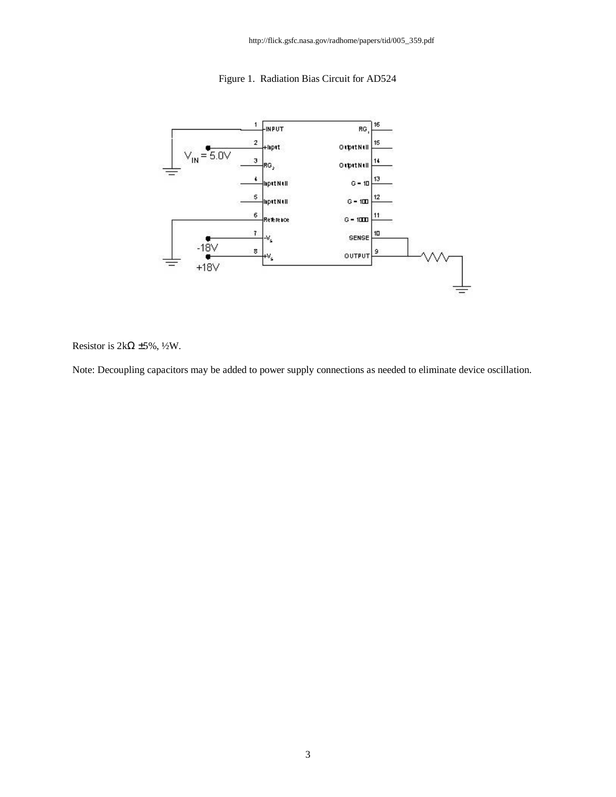http://flick.gsfc.nasa.gov/radhome/papers/tid/005\_359.pdf





Resistor is  $2k\Omega \pm 5\%$ , ½W.

Note: Decoupling capacitors may be added to power supply connections as needed to eliminate device oscillation.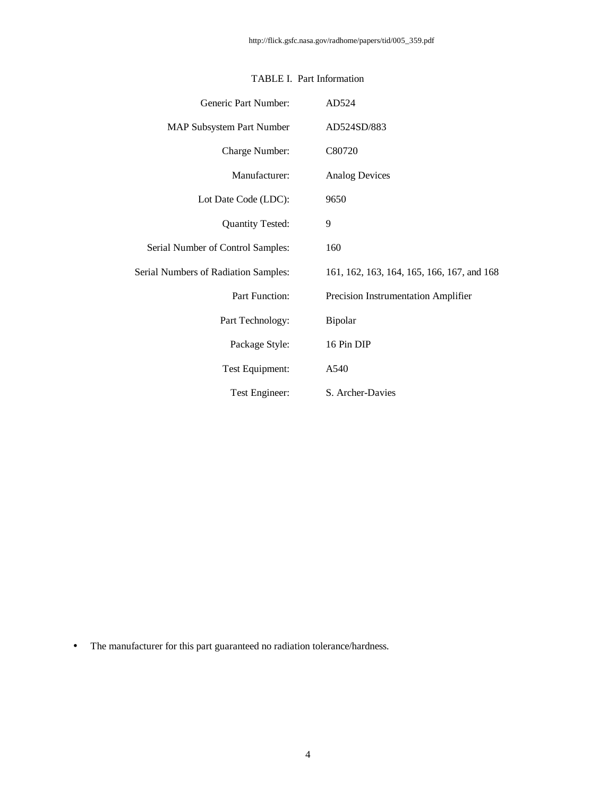| Generic Part Number:                 | AD524                                      |
|--------------------------------------|--------------------------------------------|
| <b>MAP Subsystem Part Number</b>     | AD524SD/883                                |
| Charge Number:                       | C80720                                     |
| Manufacturer:                        | <b>Analog Devices</b>                      |
| Lot Date Code (LDC):                 | 9650                                       |
| <b>Quantity Tested:</b>              | 9                                          |
| Serial Number of Control Samples:    | 160                                        |
| Serial Numbers of Radiation Samples: | 161, 162, 163, 164, 165, 166, 167, and 168 |
| Part Function:                       | Precision Instrumentation Amplifier        |
| Part Technology:                     | Bipolar                                    |
| Package Style:                       | 16 Pin DIP                                 |
| Test Equipment:                      | A540                                       |
| Test Engineer:                       | S. Archer-Davies                           |

### TABLE I. Part Information

• The manufacturer for this part guaranteed no radiation tolerance/hardness.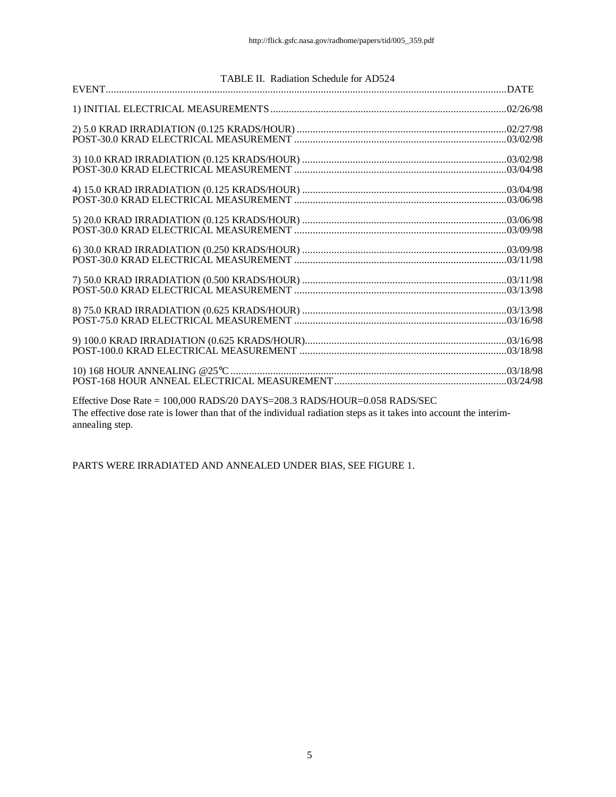| TABLE II. Radiation Schedule for AD524                                                                                                                                                          |  |
|-------------------------------------------------------------------------------------------------------------------------------------------------------------------------------------------------|--|
|                                                                                                                                                                                                 |  |
|                                                                                                                                                                                                 |  |
|                                                                                                                                                                                                 |  |
|                                                                                                                                                                                                 |  |
|                                                                                                                                                                                                 |  |
|                                                                                                                                                                                                 |  |
|                                                                                                                                                                                                 |  |
|                                                                                                                                                                                                 |  |
|                                                                                                                                                                                                 |  |
|                                                                                                                                                                                                 |  |
| Effective Dose Rate = 100,000 RADS/20 DAYS=208.3 RADS/HOUR=0.058 RADS/SEC<br>The effective dose rate is lower than that of the individual radiation steps as it takes into account the interim- |  |

annealing step.

PARTS WERE IRRADIATED AND ANNEALED UNDER BIAS, SEE FIGURE 1.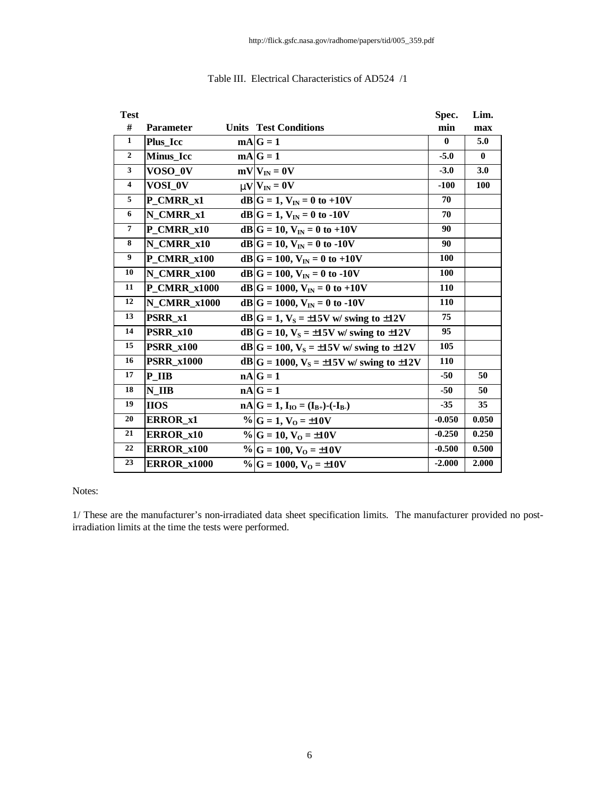| <b>Test</b>         |                     |                                                     | Spec.        | Lim.       |
|---------------------|---------------------|-----------------------------------------------------|--------------|------------|
| #                   | Parameter           | <b>Units</b> Test Conditions                        | min          | max        |
| $\mathbf{1}$        | Plus Icc            | $mA G=1$                                            | $\mathbf{0}$ | 5.0        |
| $\mathbf{2}$        | <b>Minus Icc</b>    | $mA G=1$                                            | $-5.0$       | $\bf{0}$   |
| 3                   | VOSO_0V             | $mV V_{IN} = 0V$                                    | $-3.0$       | 3.0        |
| $\overline{\bf{4}}$ | VOSI 0V             | $mV V_{IN} = 0V$                                    | $-100$       | <b>100</b> |
| 5                   | P_CMRR_x1           | $dB G = 1, V_{IN} = 0$ to +10V                      | 70           |            |
| 6                   | N CMRR x1           | $dB G = 1, V_{IN} = 0$ to -10V                      | 70           |            |
| 7                   | P CMRR x10          | $dB G = 10, V_{IN} = 0$ to +10V                     | 90           |            |
| 8                   | N_CMRR_x10          | $dB G = 10, V_{IN} = 0$ to -10V                     | 90           |            |
| 9                   | P CMRR x100         | $dB G = 100, V_{IN} = 0$ to +10V                    | <b>100</b>   |            |
| 10                  | N CMRR x100         | $dB G = 100, V_{IN} = 0$ to -10V                    | 100          |            |
| 11                  | <b>P CMRR x1000</b> | $dB G = 1000, V_{IN} = 0$ to +10V                   | <b>110</b>   |            |
| 12                  | <b>N CMRR x1000</b> | $dB G = 1000, VIN = 0$ to -10V                      | 110          |            |
| 13                  | PSRR x1             | $dB G = 1$ , $V_S = \pm 15V$ w/ swing to $\pm 12V$  | 75           |            |
| 14                  | PSRR x10            | $dB G = 10$ , $V_S = \pm 15V$ w/ swing to $\pm 12V$ | 95           |            |
| 15                  | <b>PSRR_x100</b>    | $dB G = 100, V_S = \pm 15V$ w/ swing to $\pm 12V$   | 105          |            |
| 16                  | <b>PSRR_x1000</b>   | $dB G = 1000, V_S = \pm 15V$ w/ swing to $\pm 12V$  | 110          |            |
| 17                  | P IIB               | $nA G=1$                                            | $-50$        | 50         |
| 18                  | $N$ _IIB            | $nA G=1$                                            | $-50$        | 50         |
| 19                  | <b>IIOS</b>         | $nA G = 1, IIO = (IB+)-(IB)$                        | $-35$        | 35         |
| 20                  | <b>ERROR x1</b>     | % $G = 1$ , $V_0 = \pm 10V$                         | $-0.050$     | 0.050      |
| 21                  | <b>ERROR x10</b>    | $\%$ G = 10, V <sub>0</sub> = ±10V                  | $-0.250$     | 0.250      |
| 22                  | <b>ERROR x100</b>   | $\%$ G = 100, V <sub>O</sub> = ±10V                 | $-0.500$     | 0.500      |
| 23                  | <b>ERROR_x1000</b>  | % $G = 1000, VO = \pm 10V$                          | $-2.000$     | 2.000      |

#### Table III. Electrical Characteristics of AD524 /1

#### Notes:

1/ These are the manufacturer's non-irradiated data sheet specification limits. The manufacturer provided no postirradiation limits at the time the tests were performed.